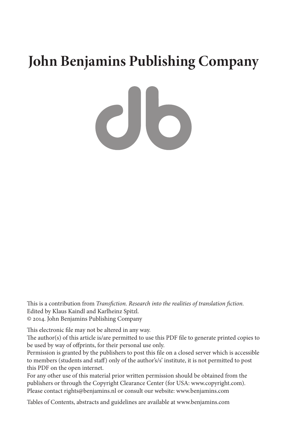# **John Benjamins Publishing Company**

CIO

This is a contribution from *Transfiction. Research into the realities of translation fiction.* Edited by Klaus Kaindl and Karlheinz Spitzl. © 2014. John Benjamins Publishing Company

This electronic file may not be altered in any way.

The author(s) of this article is/are permitted to use this PDF file to generate printed copies to be used by way of offprints, for their personal use only.

Permission is granted by the publishers to post this file on a closed server which is accessible to members (students and staff) only of the author's/s' institute, it is not permitted to post this PDF on the open internet.

For any other use of this material prior written permission should be obtained from the publishers or through the Copyright Clearance Center (for USA: www.copyright.com). Please contact rights@benjamins.nl or consult our website: www.benjamins.com

Tables of Contents, abstracts and guidelines are available at www.benjamins.com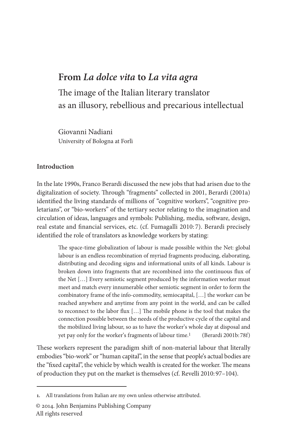# **From** *La dolce vita* **to** *La vita agra*

The image of the Italian literary translator as an illusory, rebellious and precarious intellectual

Giovanni Nadiani University of Bologna at Forlì

# **Introduction**

In the late 1990s, Franco Berardi discussed the new jobs that had arisen due to the digitalization of society. Through "fragments" collected in 2001, Berardi (2001a) identified the living standards of millions of "cognitive workers", "cognitive proletarians", or "bio-workers" of the tertiary sector relating to the imagination and circulation of ideas, languages and symbols: Publishing, media, software, design, real estate and financial services, etc. (cf. Fumagalli 2010: 7). Berardi precisely identified the role of translators as knowledge workers by stating:

> The space-time globalization of labour is made possible within the Net: global labour is an endless recombination of myriad fragments producing, elaborating, distributing and decoding signs and informational units of all kinds. Labour is broken down into fragments that are recombined into the continuous flux of the Net […] Every semiotic segment produced by the information worker must meet and match every innumerable other semiotic segment in order to form the combinatory frame of the info-commodity, semiocapital, […] the worker can be reached anywhere and anytime from any point in the world, and can be called to reconnect to the labor flux […] The mobile phone is the tool that makes the connection possible between the needs of the productive cycle of the capital and the mobilized living labour, so as to have the worker's whole day at disposal and yet pay only for the worker's fragments of labour time.<sup>1</sup> (Berardi 2001b: 78f)

These workers represent the paradigm shift of non-material labour that literally embodies "bio-work" or "human capital", in the sense that people's actual bodies are the "fixed capital", the vehicle by which wealth is created for the worker. The means of production they put on the market is themselves (cf. Revelli 2010:97–104).

**<sup>1.</sup>** All translations from Italian are my own unless otherwise attributed.

<sup>© 2014.</sup> John Benjamins Publishing Company All rights reserved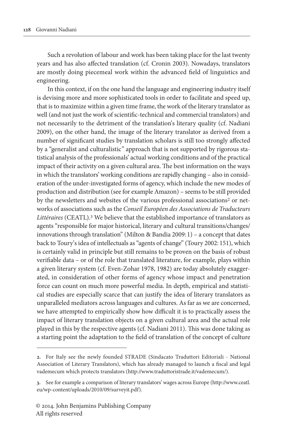Such a revolution of labour and work has been taking place for the last twenty years and has also affected translation (cf. Cronin 2003). Nowadays, translators are mostly doing piecemeal work within the advanced field of linguistics and engineering.

In this context, if on the one hand the language and engineering industry itself is devising more and more sophisticated tools in order to facilitate and speed up, that is to maximize within a given time frame, the work of the literary translator as well (and not just the work of scientific-technical and commercial translators) and not necessarily to the detriment of the translation's literary quality (cf. Nadiani 2009), on the other hand, the image of the literary translator as derived from a number of significant studies by translation scholars is still too strongly affected by a "generalist and culturalistic" approach that is not supported by rigorous statistical analysis of the professionals' actual working conditions and of the practical impact of their activity on a given cultural area. The best information on the ways in which the translators' working conditions are rapidly changing – also in consideration of the under-investigated forms of agency, which include the new modes of production and distribution (see for example Amazon) – seems to be still provided by the newsletters and websites of the various professional associations<sup>2</sup> or networks of associations such as the *Conseil Européen des Associations de Traducteurs Littéraires* (CEATL).3 We believe that the established importance of translators as agents "responsible for major historical, literary and cultural transitions/changes/ innovations through translation" (Milton & Bandia 2009:1) – a concept that dates back to Toury's idea of intellectuals as "agents of change" (Toury 2002: 151), which is certainly valid in principle but still remains to be proven on the basis of robust verifiable data – or of the role that translated literature, for example, plays within a given literary system (cf. Even-Zohar 1978, 1982) are today absolutely exaggerated, in consideration of other forms of agency whose impact and penetration force can count on much more powerful media. In depth, empirical and statistical studies are especially scarce that can justify the idea of literary translators as unparalleled mediators across languages and cultures. As far as we are concerned, we have attempted to empirically show how difficult it is to practically assess the impact of literary translation objects on a given cultural area and the actual role played in this by the respective agents (cf. Nadiani 2011). This was done taking as a starting point the adaptation to the field of translation of the concept of culture

**<sup>2.</sup>** For Italy see the newly founded STRADE (Sindacato Traduttori Editoriali - National Association of Literary Translators), which has already managed to launch a fiscal and legal vademecum which protects translators (http://www.traduttoristrade.it/vademecum/).

**<sup>3.</sup>** See for example a comparison of literary translators' wages across Europe (http://www.ceatl. eu/wp-content/uploads/2010/09/surveyit.pdf).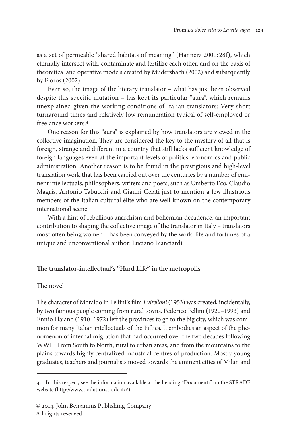as a set of permeable "shared habitats of meaning" (Hannerz 2001: 28f), which eternally intersect with, contaminate and fertilize each other, and on the basis of theoretical and operative models created by Mudersbach (2002) and subsequently by Floros (2002).

Even so, the image of the literary translator – what has just been observed despite this specific mutation – has kept its particular "aura", which remains unexplained given the working conditions of Italian translators: Very short turnaround times and relatively low remuneration typical of self-employed or freelance workers.4

One reason for this "aura" is explained by how translators are viewed in the collective imagination. They are considered the key to the mystery of all that is foreign, strange and different in a country that still lacks sufficient knowledge of foreign languages even at the important levels of politics, economics and public administration. Another reason is to be found in the prestigious and high-level translation work that has been carried out over the centuries by a number of eminent intellectuals, philosophers, writers and poets, such as Umberto Eco, Claudio Magris, Antonio Tabucchi and Gianni Celati just to mention a few illustrious members of the Italian cultural élite who are well-known on the contemporary international scene.

With a hint of rebellious anarchism and bohemian decadence, an important contribution to shaping the collective image of the translator in Italy – translators most often being women – has been conveyed by the work, life and fortunes of a unique and unconventional author: Luciano Bianciardi.

# **The translator-intellectual's "Hard Life" in the metropolis**

### The novel

The character of Moraldo in Fellini's film *I vitelloni* (1953) was created, incidentally, by two famous people coming from rural towns. Federico Fellini (1920–1993) and Ennio Flaiano (1910–1972) left the provinces to go to the big city, which was common for many Italian intellectuals of the Fifties. It embodies an aspect of the phenomenon of internal migration that had occurred over the two decades following WWII: From South to North, rural to urban areas, and from the mountains to the plains towards highly centralized industrial centres of production. Mostly young graduates, teachers and journalists moved towards the eminent cities of Milan and

**<sup>4.</sup>** In this respect, see the information available at the heading "Documenti" on the STRADE website (http://www.traduttoristrade.it/#).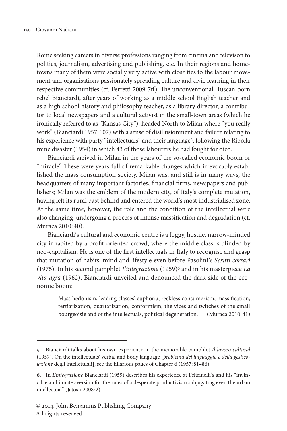Rome seeking careers in diverse professions ranging from cinema and televison to politics, journalism, advertising and publishing, etc. In their regions and hometowns many of them were socially very active with close ties to the labour movement and organisations passionately spreading culture and civic learning in their respective communities (cf. Ferretti 2009:7ff). The unconventional, Tuscan-born rebel Bianciardi, after years of working as a middle school English teacher and as a high school history and philosophy teacher, as a library director, a contributor to local newspapers and a cultural activist in the small-town areas (which he ironically referred to as "Kansas City"), headed North to Milan where "you really work" (Bianciardi 1957:107) with a sense of disillusionment and failure relating to his experience with party "intellectuals" and their language<sup>5</sup>, following the Ribolla mine disaster (1954) in which 43 of those labourers he had fought for died.

Bianciardi arrived in Milan in the years of the so-called economic boom or "miracle". These were years full of remarkable changes which irrevocably established the mass consumption society. Milan was, and still is in many ways, the headquarters of many important factories, financial firms, newspapers and publishers; Milan was the emblem of the modern city, of Italy's complete mutation, having left its rural past behind and entered the world's most industrialised zone. At the same time, however, the role and the condition of the intellectual were also changing, undergoing a process of intense massification and degradation (cf. Muraca 2010: 40).

Bianciardi's cultural and economic centre is a foggy, hostile, narrow-minded city inhabited by a profit-oriented crowd, where the middle class is blinded by neo-capitalism. He is one of the first intellectuals in Italy to recognise and grasp that mutation of habits, mind and lifestyle even before Pasolini's *Scritti corsari*  (1975). In his second pamphlet *L'integrazione* (1959)6 and in his masterpiece *La vita agra* (1962), Bianciardi unveiled and denounced the dark side of the economic boom:

Mass hedonism, leading classes' euphoria, reckless consumerism, massification, tertiarization, quartarization, conformism, the vices and twitches of the small bourgeoisie and of the intellectuals, political degeneration. (Muraca 2010: 41)

**<sup>5.</sup>** Bianciardi talks about his own experience in the memorable pamphlet *Il lavoro cultural*  (1957)*.* On the intellectuals' verbal and body language [*problema del linguaggio e della gesticolazione* degli intellettuali], see the hilarious pages of Chapter 6 (1957: 81–86).

**<sup>6.</sup>** In *L'integrazione* Bianciardi (1959) describes his experience at Feltrinelli's and his "invincible and innate aversion for the rules of a desperate productivism subjugating even the urban intellectual" (Jatosti 2008: 2).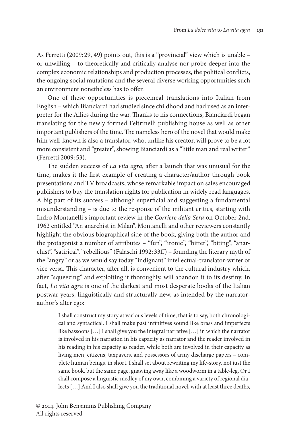As Ferretti (2009: 29, 49) points out, this is a "provincial" view which is unable – or unwilling – to theoretically and critically analyse nor probe deeper into the complex economic relationships and production processes, the political conflicts, the ongoing social mutations and the several diverse working opportunities such an environment nonetheless has to offer.

One of these opportunities is piecemeal translations into Italian from English – which Bianciardi had studied since childhood and had used as an interpreter for the Allies during the war. Thanks to his connections, Bianciardi began translating for the newly formed Feltrinelli publishing house as well as other important publishers of the time. The nameless hero of the novel that would make him well-known is also a translator, who, unlike his creator, will prove to be a lot more consistent and "greater", showing Bianciardi as a "little man and real writer" (Ferretti 2009: 53).

The sudden success of *La vita agra*, after a launch that was unusual for the time, makes it the first example of creating a character/author through book presentations and TV broadcasts, whose remarkable impact on sales encouraged publishers to buy the translation rights for publication in widely read languages. A big part of its success – although superficial and suggesting a fundamental misunderstanding – is due to the response of the militant critics, starting with Indro Montanelli's important review in the *Corriere della Sera* on October 2nd, 1962 entitled "An anarchist in Milan". Montanelli and other reviewers constantly highlight the obvious biographical side of the book, giving both the author and the protagonist a number of attributes - "fun", "ironic", "bitter", "biting", "anarchist", "satirical", "rebellious" (Falaschi 1992: 33ff) – founding the literary myth of the "angry" or as we would say today "indignant" intellectual-translator-writer or vice versa. This character, after all, is convenient to the cultural industry which, after "squeezing" and exploiting it thoroughly, will abandon it to its destiny. In fact, *La vita agra* is one of the darkest and most desperate books of the Italian postwar years, linguistically and structurally new, as intended by the narratorauthor's alter ego:

> I shall construct my story at various levels of time, that is to say, both chronological and syntactical. I shall make past infinitives sound like brass and imperfects like bassoons […] I shall give you the integral narrative […] in which the narrator is involved in his narration in his capacity as narrator and the reader involved in his reading in his capacity as reader, while both are involved in their capacity as living men, citizens, taxpayers, and possessors of army discharge papers – complete human beings, in short. I shall set about rewriting my life-story, not just the same book, but the same page, gnawing away like a woodworm in a table-leg. Or I shall compose a linguistic medley of my own, combining a variety of regional dialects […] And I also shall give you the traditional novel, with at least three deaths,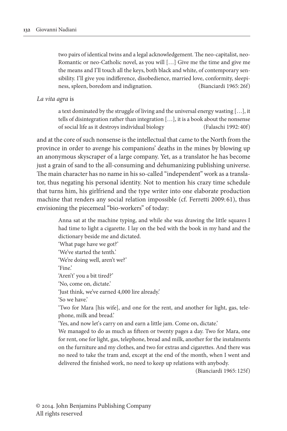two pairs of identical twins and a legal acknowledgement. The neo-capitalist, neo-Romantic or neo-Catholic novel, as you will […] Give me the time and give me the means and I'll touch all the keys, both black and white, of contemporary sensibility. I'll give you indifference, disobedience, married love, conformity, sleepiness, spleen, boredom and indignation. (Bianciardi 1965: 26f)

#### *La vita agra* is

a text dominated by the struggle of living and the universal energy wasting […], it tells of disintegration rather than integration […], it is a book about the nonsense of social life as it destroys individual biology (Falaschi 1992: 40f)

and at the core of such nonsense is the intellectual that came to the North from the province in order to avenge his companions' deaths in the mines by blowing up an anonymous skyscraper of a large company. Yet, as a translator he has become just a grain of sand to the all-consuming and dehumanizing publishing universe. The main character has no name in his so-called "independent" work as a translator, thus negating his personal identity. Not to mention his crazy time schedule that turns him, his girlfriend and the type writer into one elaborate production machine that renders any social relation impossible (cf. Ferretti 2009: 61), thus envisioning the piecemeal "bio-workers" of today:

Anna sat at the machine typing, and while she was drawing the little squares I had time to light a cigarette. I lay on the bed with the book in my hand and the dictionary beside me and dictated.

'What page have we got?'

'We've started the tenth.'

'We're doing well, aren't we?'

'Fine.'

'Aren't' you a bit tired?'

'No, come on, dictate.'

'Just think, we've earned 4,000 lire already.'

'So we have.'

'Two for Mara [his wife], and one for the rent, and another for light, gas, telephone, milk and bread.'

'Yes, and now let's carry on and earn a little jam. Come on, dictate.'

We managed to do as much as fifteen or twenty pages a day. Two for Mara, one for rent, one for light, gas, telephone, bread and milk, another for the instalments on the furniture and my clothes, and two for extras and cigarettes. And there was no need to take the tram and, except at the end of the month, when I went and delivered the finished work, no need to keep up relations with anybody.

(Bianciardi 1965: 125f)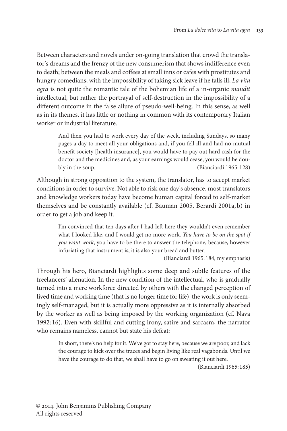Between characters and novels under on-going translation that crowd the translator's dreams and the frenzy of the new consumerism that shows indifference even to death; between the meals and coffees at small inns or cafes with prostitutes and hungry comedians, with the impossibility of taking sick leave if he falls ill, *La vita agra* is not quite the romantic tale of the bohemian life of a in-organic *maudit* intellectual, but rather the portrayal of self-destruction in the impossibility of a different outcome in the false allure of pseudo-well-being. In this sense, as well as in its themes, it has little or nothing in common with its contemporary Italian worker or industrial literature.

> And then you had to work every day of the week, including Sundays, so many pages a day to meet all your obligations and, if you fell ill and had no mutual benefit society [health insurance], you would have to pay out hard cash for the doctor and the medicines and, as your earnings would cease, you would be doubly in the soup. (Bianciardi 1965: 128)

Although in strong opposition to the system, the translator, has to accept market conditions in order to survive. Not able to risk one day's absence, most translators and knowledge workers today have become human capital forced to self-market themselves and be constantly available (cf. Bauman 2005, Berardi 2001a, b) in order to get a job and keep it.

I'm convinced that ten days after I had left here they wouldn't even remember what I looked like, and I would get no more work. *You have to be on the spot if you want work*, you have to be there to answer the telephone, because, however infuriating that instrument is, it is also your bread and butter.

(Bianciardi 1965: 184, my emphasis)

Through his hero, Bianciardi highlights some deep and subtle features of the freelancers' alienation. In the new condition of the intellectual, who is gradually turned into a mere workforce directed by others with the changed perception of lived time and working time (that is no longer time for life), the work is only seemingly self-managed, but it is actually more oppressive as it is internally absorbed by the worker as well as being imposed by the working organization (cf. Nava 1992: 16). Even with skillful and cutting irony, satire and sarcasm, the narrator who remains nameless, cannot but state his defeat:

In short, there's no help for it. We've got to stay here, because we are poor, and lack the courage to kick over the traces and begin living like real vagabonds. Until we have the courage to do that, we shall have to go on sweating it out here.

(Bianciardi 1965: 185)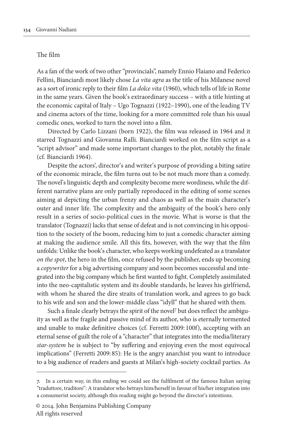## The film

As a fan of the work of two other "provincials", namely Ennio Flaiano and Federico Fellini, Bianciardi most likely chose *La vita agra* as the title of his Milanese novel as a sort of ironic reply to their film *La dolce vita* (1960), which tells of life in Rome in the same years. Given the book's extraordinary success – with a title hinting at the economic capital of Italy – Ugo Tognazzi (1922–1990), one of the leading TV and cinema actors of the time, looking for a more committed role than his usual comedic ones, worked to turn the novel into a film.

Directed by Carlo Lizzani (born 1922), the film was released in 1964 and it starred Tognazzi and Giovanna Ralli. Bianciardi worked on the film script as a "script advisor" and made some important changes to the plot, notably the finale (cf. Bianciardi 1964).

Despite the actors', director's and writer's purpose of providing a biting satire of the economic miracle, the film turns out to be not much more than a comedy. The novel's linguistic depth and complexity become mere wordiness, while the different narrative plans are only partially reproduced in the editing of some scenes aiming at depicting the urban frenzy and chaos as well as the main character's outer and inner life. The complexity and the ambiguity of the book's hero only result in a series of socio-political cues in the movie. What is worse is that the translator (Tognazzi) lacks that sense of defeat and is not convincing in his opposition to the society of the boom, reducing him to just a comedic character aiming at making the audience smile. All this fits, however, with the way that the film unfolds: Unlike the book's character, who keeps working undefeated as a translator *on the spot*, the hero in the film, once refused by the publisher, ends up becoming a *copywriter* for a big advertising company and soon becomes successful and integrated into the big company which he first wanted to fight. Completely assimilated into the neo-capitalistic system and its double standards, he leaves his girlfriend, with whom he shared the dire straits of translation work, and agrees to go back to his wife and son and the lower-middle class "idyll" that he shared with them.

Such a finale clearly betrays the spirit of the novel7 but does reflect the ambiguity as well as the fragile and passive mind of its author, who is eternally tormented and unable to make definitive choices (cf. Ferretti 2009:100f), accepting with an eternal sense of guilt the role of a "character" that integrates into the media/literary *star-system* he is subject to "by suffering and enjoying even the most equivocal implications" (Ferretti 2009:85): He is the angry anarchist you want to introduce to a big audience of readers and guests at Milan's high-society cocktail parties. As

**<sup>7.</sup>** In a certain way, in this ending we could see the fulfilment of the famous Italian saying "traduttore, traditore": A translator who betrays him/herself in favour of his/her integration into a consumerist society, although this reading might go beyond the director's intentions.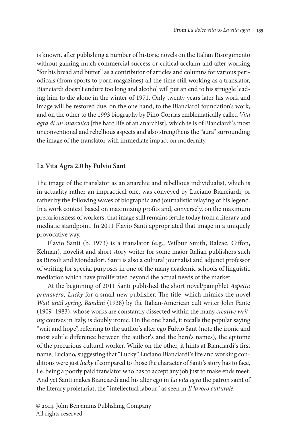is known, after publishing a number of historic novels on the Italian Risorgimento without gaining much commercial success or critical acclaim and after working "for his bread and butter" as a contributor of articles and columns for various periodicals (from sports to porn magazines) all the time still working as a translator, Bianciardi doesn't endure too long and alcohol will put an end to his struggle leading him to die alone in the winter of 1971. Only twenty years later his work and image will be restored due, on the one hand, to the Bianciardi foundation's work, and on the other to the 1993 biography by Pino Corrias emblematically called *Vita agra di un anarchico* [the hard life of an anarchist], which tells of Bianciardi's most unconventional and rebellious aspects and also strengthens the "aura" surrounding the image of the translator with immediate impact on modernity.

# **La Vita Agra 2.0 by Fulvio Sant**

The image of the translator as an anarchic and rebellious individualist, which is in actuality rather an impractical one, was conveyed by Luciano Bianciardi, or rather by the following waves of biographic and journalistic relaying of his legend. In a work context based on maximizing profits and, conversely, on the maximum precariousness of workers, that image still remains fertile today from a literary and mediatic standpoint. In 2011 Flavio Santi appropriated that image in a uniquely provocative way.

Flavio Santi (b. 1973) is a translator (e.g., Wilbur Smith, Balzac, Giffon, Kelman), novelist and short story writer for some major Italian publishers such as Rizzoli and Mondadori. Santi is also a cultural journalist and adjunct professor of writing for special purposes in one of the many academic schools of linguistic mediation which have proliferated beyond the actual needs of the market.

At the beginning of 2011 Santi published the short novel/pamphlet *Aspetta primavera, Lucky* for a small new publisher. The title, which mimics the novel *Wait until spring, Bandini* (1938) by the Italian-American cult writer John Fante (1909–1983), whose works are constantly dissected within the many *creative writing* courses in Italy, is doubly ironic. On the one hand, it recalls the popular saying "wait and hope", referring to the author's alter ego Fulvio Sant (note the ironic and most subtle difference between the author's and the hero's names), the epitome of the precarious cultural worker. While on the other, it hints at Bianciardi's first name, Luciano, suggesting that "Lucky" Luciano Bianciardi's life and working conditions were just *lucky* if compared to those the character of Santi's story has to face, i.e. being a poorly paid translator who has to accept any job just to make ends meet. And yet Santi makes Bianciardi and his alter ego in *La vita agra* the patron saint of the literary proletariat, the "intellectual labour" as seen in *Il lavoro culturale*.

© 2014. John Benjamins Publishing Company All rights reserved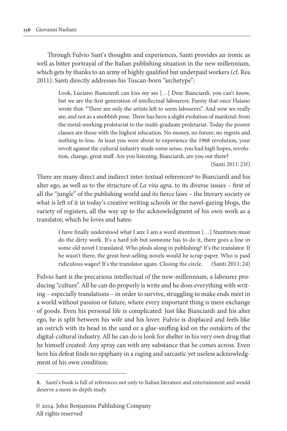Through Fulvio Sant's thoughts and experiences, Santi provides an ironic as well as bitter portrayal of the Italian publishing situation in the new millennium, which gets by thanks to an army of highly qualified but underpaid workers (cf. Rea 2011). Santi directly addresses his Tuscan-born "archetype":

> Look, Luciano Bianciardi can kiss my ass […] Dear Bianciardi, you can't know, but we are the first generation of intellectual labourers. Funny that once Flaiano wrote that: "There are only the artists left to seem labourers". And now we really are, and not as a snobbish pose. There has been a slight evolution of mankind: from the metal-working proletariat to the multi-graduate proletariat. Today the poorer classes are those with the highest education. No money, no future, no regrets and nothing to lose. At least you were about to experience the 1968 revolution, your revolt against the cultural industry made some sense, you had high hopes, revolution, change, great stuff. Are you listening, Bianciardi, are you out there?

> > (Santi 2011: 23f)

There are many direct and indirect inter-textual references<sup>8</sup> to Bianciardi and his alter ego, as well as to the structure of *La vita agra*, to its diverse issues – first of all the "jungle" of the publishing world and its fierce laws – the literary society or what is left of it in today's creative writing schools or the navel-gazing blogs, the variety of registers, all the way up to the acknowledgment of his own work as a translator, which he loves and hates:

I have finally understood what I am: I am a word stuntman […] Stuntmen must do the dirty work. It's a hard job but someone has to do it, there goes a line in some old novel I translated. Who plods along in publishing? It's the translator. If he wasn't there, the great best-selling novels would be scrap paper. Who is paid ridiculous wages? It's the translator again. Closing the circle. (Santi 2011: 24)

Fulvio Sant is the precarious intellectual of the new-millennium, a labourer producing "culture". All he can do properly is write and he does everything with writing – especially translations – in order to survive, struggling to make ends meet in a world without passion or future, where every important thing is mere exchange of goods. Even his personal life is complicated: Just like Bianciardi and his alter ego, he is split between his wife and his lover. Fulvio is displaced and feels like an ostrich with its head in the sand or a glue-sniffing kid on the outskirts of the digital-cultural industry. All he can do is look for shelter in his very own drug that he himself created: Any spray can with any substance that he comes across. Even here his defeat finds no epiphany in a raging and sarcastic yet useless acknowledgment of his own condition:

**<sup>8.</sup>** Santi's book is full of references not only to Italian literature and entertainment and would deserve a more in-depth study.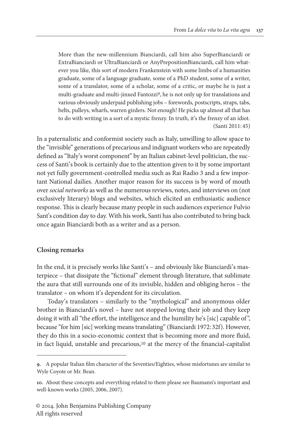More than the new-millennium Bianciardi, call him also SuperBianciardi or ExtraBianciardi or UltraBianciardi or AnyPrepositionBianciardi, call him whatever you like, this sort of modern Frankenstein with some limbs of a humanities graduate, some of a language graduate, some of a PhD student, some of a writer, some of a translator, some of a scholar, some of a critic, or maybe he is just a multi-graduate and multi-jinxed Fantozzi*9*, he is not only up for translations and various obviously underpaid publishing jobs – forewords, postscripts, straps, tabs, belts, pulleys, wharfs, warren girders. Not enough! He picks up almost all that has to do with writing in a sort of a mystic frenzy. In truth, it's the frenzy of an idiot. (Santi 2011: 45)

In a paternalistic and conformist society such as Italy, unwilling to allow space to the "invisible" generations of precarious and indignant workers who are repeatedly defined as "Italy's worst component" by an Italian cabinet-level politician, the success of Santi's book is certainly due to the attention given to it by some important not yet fully government-controlled media such as Rai Radio 3 and a few important National dailies. Another major reason for its success is by word of mouth over *social networks* as well as the numerous reviews, notes, and interviews on (not exclusively literary) blogs and websites, which elicited an enthusiastic audience response. This is clearly because many people in such audiences experience Fulvio Sant's condition day to day. With his work, Santi has also contributed to bring back once again Bianciardi both as a writer and as a person.

#### **Closing remarks**

In the end, it is precisely works like Santi's – and obviously like Bianciardi's masterpiece – that dissipate the "fictional" element through literature, that sublimate the aura that still surrounds one of its invisible, hidden and obliging heros – the translator – on whom it's dependent for its circulation.

Today's translators – similarly to the "mythological" and anonymous older brother in Bianciardi's novel – have not stopped loving their job and they keep doing it with all "the effort, the intelligence and the humility he's [sic] capable of", because "for him [sic] working means translating" (Bianciardi 1972:32f). However, they do this in a socio-economic context that is becoming more and more fluid, in fact liquid, unstable and precarious, $10$  at the mercy of the financial-capitalist

**<sup>9.</sup>** A popular Italian film character of the Seventies/Eighties, whose misfortunes are similar to Wyle Coyote or Mr. Bean.

**<sup>10.</sup>** About these concepts and everything related to them please see Baumann's important and well-known works (2005, 2006, 2007).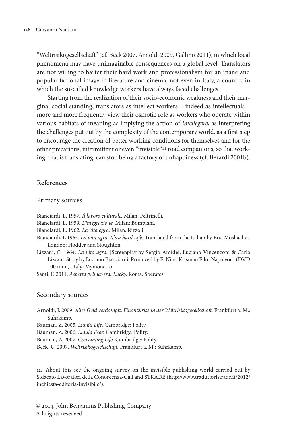"Weltrisikogesellschaft" (cf. Beck 2007, Arnoldi 2009, Gallino 2011), in which local phenomena may have unimaginable consequences on a global level. Translators are not willing to barter their hard work and professionalism for an inane and popular fictional image in literature and cinema, not even in Italy, a country in which the so-called knowledge workers have always faced challenges.

Starting from the realization of their socio-economic weakness and their marginal social standing, translators as intellect workers – indeed as intellectuals – more and more frequently view their osmotic role as workers who operate within various habitats of meaning as implying the action of *intellegere*, as interpreting the challenges put out by the complexity of the contemporary world, as a first step to encourage the creation of better working conditions for themselves and for the other precarious, intermittent or even "invisible"11 road companions, so that working, that is translating, can stop being a factory of unhappiness (cf. Berardi 2001b).

#### **References**

#### Primary sources

Bianciardi, L. 1957. *Il lavoro culturale.* Milan: Feltrinelli.

Bianciardi, L. 1959. *L'integrazione.* Milan: Bompiani.

Bianciardi, L. 1962. *La vita agra.* Milan: Rizzoli.

Bianciardi, L 1965. *La vita agra. It's a hard Life.* Translated from the Italian by Eric Mosbacher. London: Hodder and Stoughton.

Lizzani, C. 1964. *La vita agra.* [Screenplay by Sergio Amidei, Luciano Vincenzoni & Carlo Lizzani. Story by Luciano Bianciardi. Produced by E. Nino Krisman Film Napoleon] (DVD 100 min.). Italy: Mymonetro.

Santi, F. 2011. *Aspetta primavera, Lucky.* Roma: Socrates.

#### Secondary sources

Arnoldi, J. 2009. *Alles Geld verdampft. Finanzkrise in der Weltrisikogesellschaft.* Frankfurt a. M.: Suhrkamp.

Bauman, Z. 2005. *Liquid Life.* Cambridge: Polity.

Bauman, Z. 2006. *Liquid Fear.* Cambridge: Polity.

Bauman, Z. 2007. *Consuming Life.* Cambridge: Polity.

Beck, U. 2007. *Weltrisikogesellschaft.* Frankfurt a. M.: Suhrkamp.

**<sup>11.</sup>** About this see the ongoing survey on the invisible publishing world carried out by Sidacato Lavoratori della Conoscenza-Cgil and STRADE (http://www.traduttoristrade.it/2012/ inchiesta-editoria-invisibile/).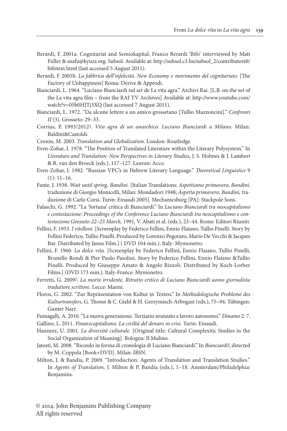- Berardi, F. 2001a. Cognitariat and Semiokapital. Franco Berardi 'Bifo' interviewed by Matt Fuller & snafu@kyuzz.org. Subsol. Available at: http://subsol.c3.hu/subsol\_2/contributors0/ bifotext.html (last accessed 5 August 2011).
- Berardi, F 2001b. *La fabbrica dell'infelicità*. *New Economy e movimento del cognitariato.* [The Factory of Unhappiness] Roma: Derive & Approdi.
- Bianciardi, L. 1964. "Luciano Bianciardi sul set de La vita agra." Archivi Rai. [L.B. on the set of the La vita agra film – from the RAI TV Archives] Available at: http://www.youtube.com/ watch?v=05b0HJTj3XQ (last accessed 7 August 2011).
- Bianciardi, L. 1972. "Da alcune lettere a un amico grossetano [Tullio Mazzoncini]." *Confronti II* (3). Grosseto: 29–33.
- Corrias, P. 1993/20122. *Vita agra di un anarchico. Luciano Bianciardi a Milano.* Milan: Baldini&Castoldi.
- Cronin, M. 2003. *Translation and Globalization.* London: Routledge.
- Even-Zohar, I. 1978. "The Position of Translated Literature within the Literary Polysystem." In *Literature and Translation: New Perspectives in Literary Studies*, J. S. Holmes & J. Lambert & R. van den Broeck (eds.), 117–127. Leuven: Acco.
- Even-Zohar, I. 1982. "Russian VPC's in Hebrew Literary Language." *Theoretical Linguistics* 9 (1): 11–16.
- Fante, J. 1938. *Wait until spring, Bandini.* [Italian Translations: *Aspettiamo primavera, Bandini,* traduzione di Giorgio Monicelli, Milan: Mondadori 1948; *Aspetta primavera, Bandini,* traduzione di Carlo Corsi, Turin: Einaudi 2005]. Mechanicsburg [PA]: Stackpole Sons.
- Falaschi, G. 1992. "La 'fortuna' critica di Bianciardi." In *Luciano Bianciardi tra neocapitalismo e contestazione: Proceedings of the Conference Luciano Bianciardi tra neocapitalismo e contestazione Grosseto 22–23 March, 1991,* V. Abati et al. (eds.), 23–44. Rome: Editori Riuniti.
- Fellini, F. 1953. *I vitelloni.* [Screenplay by Federico Fellini, Ennio Flaiano, Tullio Pinelli. Story by Fellini Federico, Tullio Pinelli. Produced by Lorenzo Pegoraro, Mario De Vecchi & Jacques Bar. Distributed by Janus Film.] ( DVD 104 min.). Italy: Mymonetro.
- Fellini, F. 1960. *La dolce vita.* [Screenplay by Federico Fellini, Ennio Flaiano, Tullio Pinelli, Brunello Rondi & Pier Paolo Pasolini. Story by Federico Fellini, Ennio Flaiano &Tullio Pinelli. Produced by Giuseppe Amato & Angelo Rizzoli. Distributed by Koch-Lorber Films.] (DVD 173 min.). Italy-France: Mymonetro.
- Ferretti, G. 20092. *La morte irridente. Ritratto critico di Luciano Bianciardi uomo giornalista traduttore scrittore.* Lecce: Manni.
- Floros, G. 2002. "Zur Repräsentation von Kultur in Texten." In *Methodologische Probleme des Kulturtransfers,* G. Thome & C. Giehl & H. Gerzymisch-Arbogast (eds.), 75–94. Tübingen: Gunter Narr.
- Fumagalli, A. 2010. "La nuova generazione. Terziario avanzato e lavoro autonomo." *Dinamo* 2: 7.
- Gallino, L. 2011. *Finanzcapitalismo. La civiltà del denaro in crisi.* Turin: Einaudi.
- Hannerz, U. 2001. *La diversità culturale.* [Original title: Cultural Complexity, Studies in the Social Organization of Meaning]. Bologna: Il Mulino.
- Jatosti, M. 2008. "Ricordo in forma di cronologia di Luciano Bianciardi." In *Bianciardi!*, directed by M. Coppola [Book+DVD]. Milan: IBSN.
- Milton, J. & Bandia, P. 2009. "Introduction. Agents of Translation and Translation Studies." In *Agents of Translation,* J. Milton & P. Bandia (eds.), 1–18. Amsterdam/Philadelphia: Benjamins.